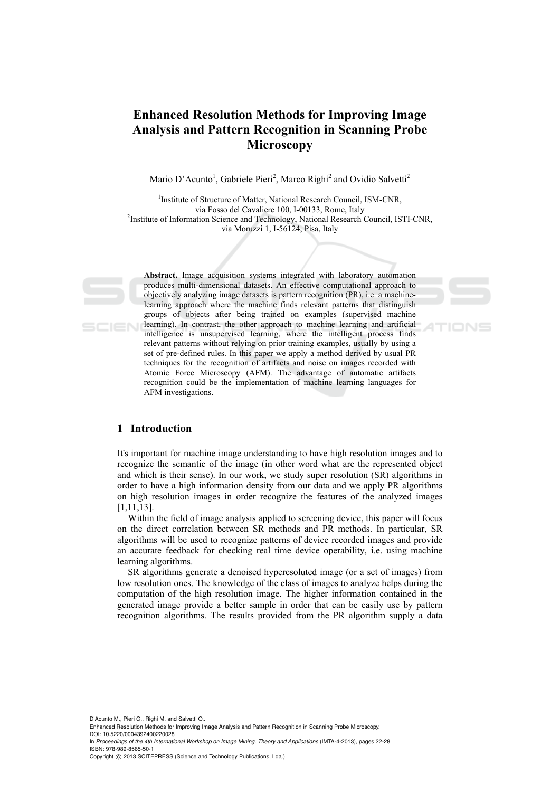# **Enhanced Resolution Methods for Improving Image Analysis and Pattern Recognition in Scanning Probe Microscopy**

Mario D'Acunto<sup>1</sup>, Gabriele Pieri<sup>2</sup>, Marco Righi<sup>2</sup> and Ovidio Salvetti<sup>2</sup>

<sup>1</sup>Institute of Structure of Matter, National Research Council, ISM-CNR, via Fosso del Cavaliere 100, I-00133, Rome, Italy 2 <sup>2</sup>Institute of Information Science and Technology, National Research Council, ISTI-CNR, via Moruzzi 1, I-56124, Pisa, Italy

**Abstract.** Image acquisition systems integrated with laboratory automation produces multi-dimensional datasets. An effective computational approach to objectively analyzing image datasets is pattern recognition (PR), i.e. a machinelearning approach where the machine finds relevant patterns that distinguish groups of objects after being trained on examples (supervised machine learning). In contrast, the other approach to machine learning and artificial intelligence is unsupervised learning, where the intelligent process finds relevant patterns without relying on prior training examples, usually by using a set of pre-defined rules. In this paper we apply a method derived by usual PR techniques for the recognition of artifacts and noise on images recorded with Atomic Force Microscopy (AFM). The advantage of automatic artifacts recognition could be the implementation of machine learning languages for AFM investigations.

### **1 Introduction**

**SCIEN** 

It's important for machine image understanding to have high resolution images and to recognize the semantic of the image (in other word what are the represented object and which is their sense). In our work, we study super resolution (SR) algorithms in order to have a high information density from our data and we apply PR algorithms on high resolution images in order recognize the features of the analyzed images [1,11,13].

Within the field of image analysis applied to screening device, this paper will focus on the direct correlation between SR methods and PR methods. In particular, SR algorithms will be used to recognize patterns of device recorded images and provide an accurate feedback for checking real time device operability, i.e. using machine learning algorithms.

SR algorithms generate a denoised hyperesoluted image (or a set of images) from low resolution ones. The knowledge of the class of images to analyze helps during the computation of the high resolution image. The higher information contained in the generated image provide a better sample in order that can be easily use by pattern recognition algorithms. The results provided from the PR algorithm supply a data

D'Acunto M., Pieri G., Righi M. and Salvetti O.,

In *Proceedings of the 4th International Workshop on Image Mining. Theory and Applications* (IMTA-4-2013), pages 22-28 ISBN: 978-989-8565-50-1

Copyright © 2013 SCITEPRESS (Science and Technology Publications, Lda.)

Enhanced Resolution Methods for Improving Image Analysis and Pattern Recognition in Scanning Probe Microscopy. DOI: 10.5220/0004392400220028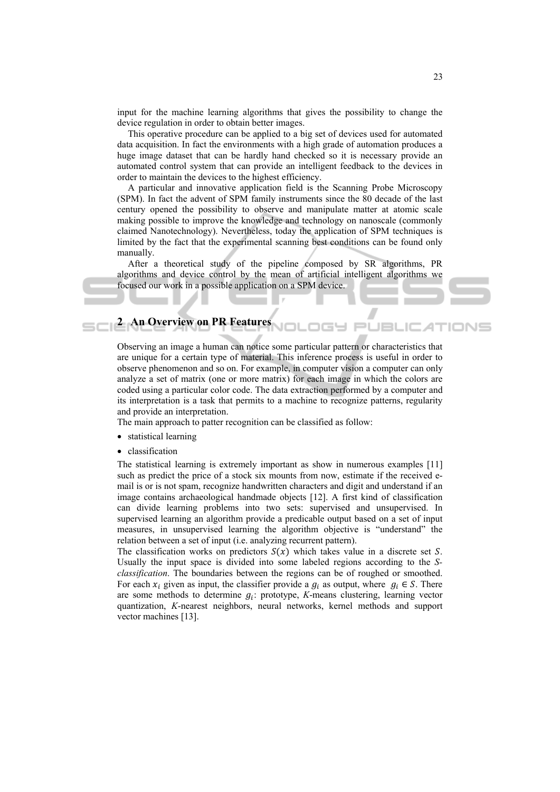input for the machine learning algorithms that gives the possibility to change the device regulation in order to obtain better images.

This operative procedure can be applied to a big set of devices used for automated data acquisition. In fact the environments with a high grade of automation produces a huge image dataset that can be hardly hand checked so it is necessary provide an automated control system that can provide an intelligent feedback to the devices in order to maintain the devices to the highest efficiency.

A particular and innovative application field is the Scanning Probe Microscopy (SPM). In fact the advent of SPM family instruments since the 80 decade of the last century opened the possibility to observe and manipulate matter at atomic scale making possible to improve the knowledge and technology on nanoscale (commonly claimed Nanotechnology). Nevertheless, today the application of SPM techniques is limited by the fact that the experimental scanning best conditions can be found only manually.

After a theoretical study of the pipeline composed by SR algorithms, PR algorithms and device control by the mean of artificial intelligent algorithms we focused our work in a possible application on a SPM device.

# **2 An Overview on PR Features**

Observing an image a human can notice some particular pattern or characteristics that are unique for a certain type of material. This inference process is useful in order to observe phenomenon and so on. For example, in computer vision a computer can only analyze a set of matrix (one or more matrix) for each image in which the colors are coded using a particular color code. The data extraction performed by a computer and its interpretation is a task that permits to a machine to recognize patterns, regularity and provide an interpretation.

The main approach to patter recognition can be classified as follow:

- statistical learning
- classification

The statistical learning is extremely important as show in numerous examples [11] such as predict the price of a stock six mounts from now, estimate if the received email is or is not spam, recognize handwritten characters and digit and understand if an image contains archaeological handmade objects [12]. A first kind of classification can divide learning problems into two sets: supervised and unsupervised. In supervised learning an algorithm provide a predicable output based on a set of input measures, in unsupervised learning the algorithm objective is "understand" the relation between a set of input (i.e. analyzing recurrent pattern).

The classification works on predictors  $S(x)$  which takes value in a discrete set S. Usually the input space is divided into some labeled regions according to the *Sclassification*. The boundaries between the regions can be of roughed or smoothed. For each  $x_i$  given as input, the classifier provide a  $g_i$  as output, where  $g_i \in S$ . There are some methods to determine  $g_i$ : prototype, *K*-means clustering, learning vector quantization, *K*-nearest neighbors, neural networks, kernel methods and support vector machines [13].

JBL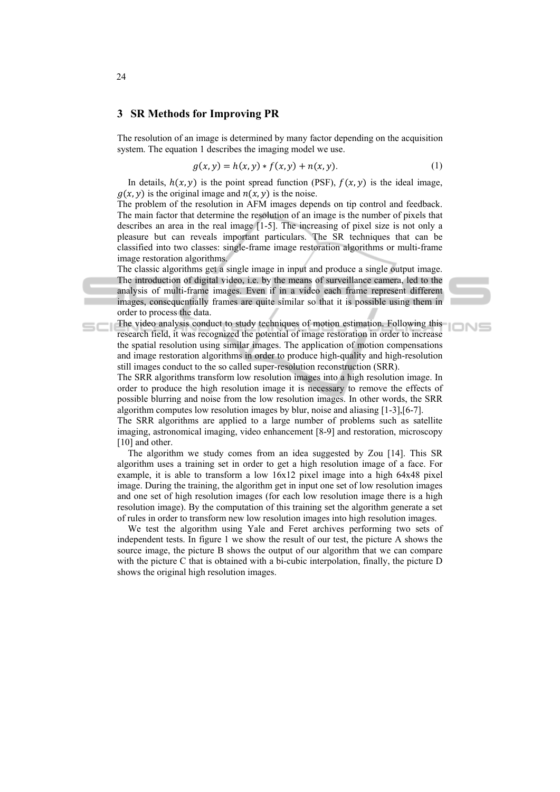#### **3 SR Methods for Improving PR**

The resolution of an image is determined by many factor depending on the acquisition system. The equation 1 describes the imaging model we use.

$$
g(x, y) = h(x, y) * f(x, y) + n(x, y).
$$
 (1)

**IONS** 

In details,  $h(x, y)$  is the point spread function (PSF),  $f(x, y)$  is the ideal image,  $q(x, y)$  is the original image and  $n(x, y)$  is the noise.

The problem of the resolution in AFM images depends on tip control and feedback. The main factor that determine the resolution of an image is the number of pixels that describes an area in the real image [1-5]. The increasing of pixel size is not only a pleasure but can reveals important particulars. The SR techniques that can be classified into two classes: single-frame image restoration algorithms or multi-frame image restoration algorithms.

The classic algorithms get a single image in input and produce a single output image. The introduction of digital video, i.e. by the means of surveillance camera, led to the analysis of multi-frame images. Even if in a video each frame represent different images, consequentially frames are quite similar so that it is possible using them in order to process the data.

The video analysis conduct to study techniques of motion estimation. Following this research field, it was recognized the potential of image restoration in order to increase the spatial resolution using similar images. The application of motion compensations and image restoration algorithms in order to produce high-quality and high-resolution still images conduct to the so called super-resolution reconstruction (SRR).

The SRR algorithms transform low resolution images into a high resolution image. In order to produce the high resolution image it is necessary to remove the effects of possible blurring and noise from the low resolution images. In other words, the SRR algorithm computes low resolution images by blur, noise and aliasing [1-3],[6-7].

The SRR algorithms are applied to a large number of problems such as satellite imaging, astronomical imaging, video enhancement [8-9] and restoration, microscopy [10] and other.

The algorithm we study comes from an idea suggested by Zou [14]. This SR algorithm uses a training set in order to get a high resolution image of a face. For example, it is able to transform a low 16x12 pixel image into a high 64x48 pixel image. During the training, the algorithm get in input one set of low resolution images and one set of high resolution images (for each low resolution image there is a high resolution image). By the computation of this training set the algorithm generate a set of rules in order to transform new low resolution images into high resolution images.

We test the algorithm using Yale and Feret archives performing two sets of independent tests. In figure 1 we show the result of our test, the picture A shows the source image, the picture B shows the output of our algorithm that we can compare with the picture C that is obtained with a bi-cubic interpolation, finally, the picture D shows the original high resolution images.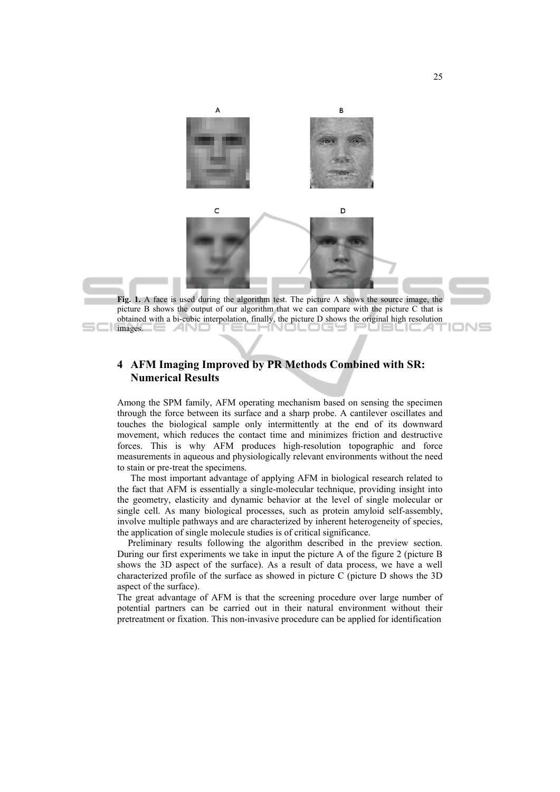

## **4 AFM Imaging Improved by PR Methods Combined with SR: Numerical Results**

Among the SPM family, AFM operating mechanism based on sensing the specimen through the force between its surface and a sharp probe. A cantilever oscillates and touches the biological sample only intermittently at the end of its downward movement, which reduces the contact time and minimizes friction and destructive forces. This is why AFM produces high-resolution topographic and force measurements in aqueous and physiologically relevant environments without the need to stain or pre-treat the specimens.

The most important advantage of applying AFM in biological research related to the fact that AFM is essentially a single-molecular technique, providing insight into the geometry, elasticity and dynamic behavior at the level of single molecular or single cell. As many biological processes, such as protein amyloid self-assembly, involve multiple pathways and are characterized by inherent heterogeneity of species, the application of single molecule studies is of critical significance.

Preliminary results following the algorithm described in the preview section. During our first experiments we take in input the picture A of the figure 2 (picture B shows the 3D aspect of the surface). As a result of data process, we have a well characterized profile of the surface as showed in picture C (picture D shows the 3D aspect of the surface).

The great advantage of AFM is that the screening procedure over large number of potential partners can be carried out in their natural environment without their pretreatment or fixation. This non-invasive procedure can be applied for identification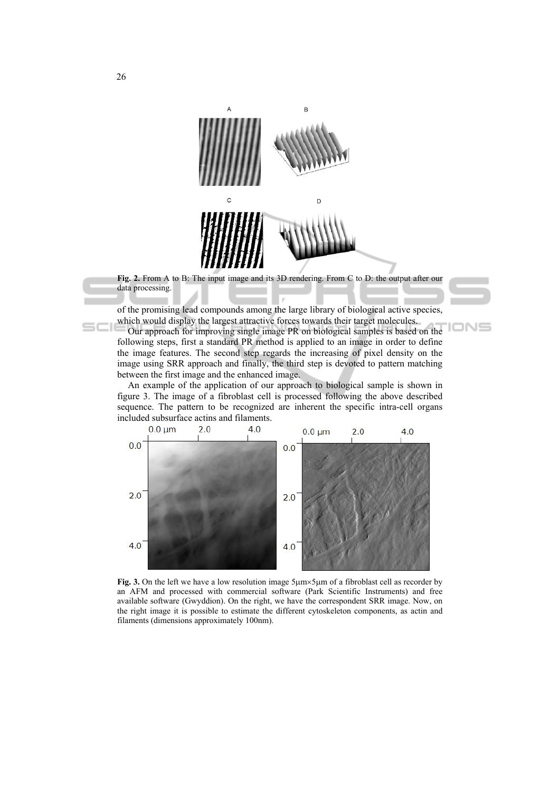

**Fig. 2.** From A to B: The input image and its 3D rendering. From C to D: the output after our data processing.

of the promising lead compounds among the large library of biological active species, which would display the largest attractive forces towards their target molecules.

IONS

Our approach for improving single image PR on biological samples is based on the following steps, first a standard PR method is applied to an image in order to define the image features. The second step regards the increasing of pixel density on the image using SRR approach and finally, the third step is devoted to pattern matching between the first image and the enhanced image.

An example of the application of our approach to biological sample is shown in figure 3. The image of a fibroblast cell is processed following the above described sequence. The pattern to be recognized are inherent the specific intra-cell organs included subsurface actins and filaments.



Fig. 3. On the left we have a low resolution image  $5 \mu m \times 5 \mu m$  of a fibroblast cell as recorder by an AFM and processed with commercial software (Park Scientific Instruments) and free available software (Gwyddion). On the right, we have the correspondent SRR image. Now, on the right image it is possible to estimate the different cytoskeleton components, as actin and filaments (dimensions approximately 100nm).

 $\equiv$  $\equiv$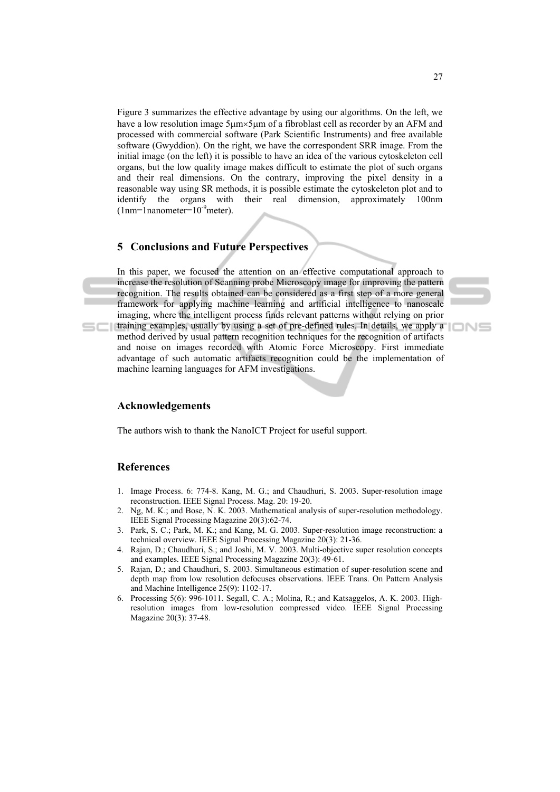Figure 3 summarizes the effective advantage by using our algorithms. On the left, we have a low resolution image  $5\mu m \times 5\mu m$  of a fibroblast cell as recorder by an AFM and processed with commercial software (Park Scientific Instruments) and free available software (Gwyddion). On the right, we have the correspondent SRR image. From the initial image (on the left) it is possible to have an idea of the various cytoskeleton cell organs, but the low quality image makes difficult to estimate the plot of such organs and their real dimensions. On the contrary, improving the pixel density in a reasonable way using SR methods, it is possible estimate the cytoskeleton plot and to identify the organs with their real dimension, approximately 100nm  $(1nm=1$ nanometer= $10^{-9}$ meter).

### **5 Conclusions and Future Perspectives**

machine learning languages for AFM investigations.

In this paper, we focused the attention on an effective computational approach to increase the resolution of Scanning probe Microscopy image for improving the pattern recognition. The results obtained can be considered as a first step of a more general framework for applying machine learning and artificial intelligence to nanoscale imaging, where the intelligent process finds relevant patterns without relying on prior training examples, usually by using a set of pre-defined rules. In details, we apply a method derived by usual pattern recognition techniques for the recognition of artifacts and noise on images recorded with Atomic Force Microscopy. First immediate advantage of such automatic artifacts recognition could be the implementation of



### **Acknowledgements**

The authors wish to thank the NanoICT Project for useful support.

#### **References**

 $=$  $-1$ 

- 1. Image Process. 6: 774-8. Kang, M. G.; and Chaudhuri, S. 2003. Super-resolution image reconstruction. IEEE Signal Process. Mag. 20: 19-20.
- 2. Ng, M. K.; and Bose, N. K. 2003. Mathematical analysis of super-resolution methodology. IEEE Signal Processing Magazine 20(3):62-74.
- 3. Park, S. C.; Park, M. K.; and Kang, M. G. 2003. Super-resolution image reconstruction: a technical overview. IEEE Signal Processing Magazine 20(3): 21-36.
- 4. Rajan, D.; Chaudhuri, S.; and Joshi, M. V. 2003. Multi-objective super resolution concepts and examples. IEEE Signal Processing Magazine 20(3): 49-61.
- 5. Rajan, D.; and Chaudhuri, S. 2003. Simultaneous estimation of super-resolution scene and depth map from low resolution defocuses observations. IEEE Trans. On Pattern Analysis and Machine Intelligence 25(9): 1102-17.
- 6. Processing 5(6): 996-1011. Segall, C. A.; Molina, R.; and Katsaggelos, A. K. 2003. Highresolution images from low-resolution compressed video. IEEE Signal Processing Magazine 20(3): 37-48.